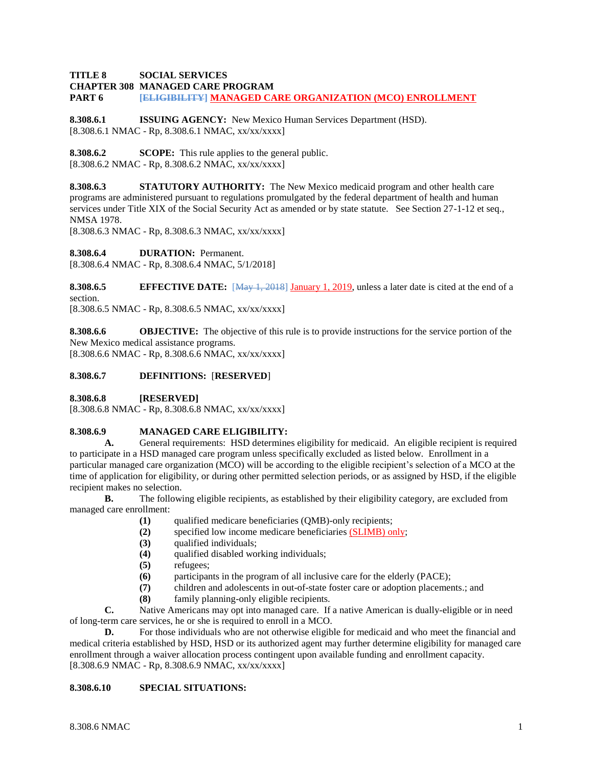# **TITLE 8 SOCIAL SERVICES CHAPTER 308 MANAGED CARE PROGRAM**

**PART 6 [ELIGIBILITY] MANAGED CARE ORGANIZATION (MCO) ENROLLMENT**

**8.308.6.1 ISSUING AGENCY:** New Mexico Human Services Department (HSD). [8.308.6.1 NMAC - Rp, 8.308.6.1 NMAC, xx/xx/xxxx]

**8.308.6.2 SCOPE:** This rule applies to the general public. [8.308.6.2 NMAC - Rp, 8.308.6.2 NMAC, xx/xx/xxxx]

**8.308.6.3 STATUTORY AUTHORITY:** The New Mexico medicaid program and other health care programs are administered pursuant to regulations promulgated by the federal department of health and human services under Title XIX of the Social Security Act as amended or by state statute. See Section 27-1-12 et seq., NMSA 1978.

[8.308.6.3 NMAC - Rp, 8.308.6.3 NMAC, xx/xx/xxxx]

**8.308.6.4 DURATION:** Permanent.

[8.308.6.4 NMAC - Rp, 8.308.6.4 NMAC, 5/1/2018]

**8.308.6.5 EFFECTIVE DATE:** [May 1, 2018] January 1, 2019, unless a later date is cited at the end of a section.

[8.308.6.5 NMAC - Rp, 8.308.6.5 NMAC, xx/xx/xxxx]

**8.308.6.6 OBJECTIVE:** The objective of this rule is to provide instructions for the service portion of the New Mexico medical assistance programs.

[8.308.6.6 NMAC - Rp, 8.308.6.6 NMAC, xx/xx/xxxx]

#### **8.308.6.7 DEFINITIONS:** [**RESERVED**]

**8.308.6.8 [RESERVED]**

[8.308.6.8 NMAC - Rp, 8.308.6.8 NMAC, xx/xx/xxxx]

## **8.308.6.9 MANAGED CARE ELIGIBILITY:**

**A.** General requirements: HSD determines eligibility for medicaid. An eligible recipient is required to participate in a HSD managed care program unless specifically excluded as listed below. Enrollment in a particular managed care organization (MCO) will be according to the eligible recipient's selection of a MCO at the time of application for eligibility, or during other permitted selection periods, or as assigned by HSD, if the eligible recipient makes no selection.

**B.** The following eligible recipients, as established by their eligibility category, are excluded from managed care enrollment:

- **(1)** qualified medicare beneficiaries (QMB)-only recipients;
- **(2)** specified low income medicare beneficiaries (SLIMB) only;
- **(3)** qualified individuals;
- **(4)** qualified disabled working individuals;
- **(5)** refugees;
- **(6)** participants in the program of all inclusive care for the elderly (PACE);
- **(7)** children and adolescents in out-of-state foster care or adoption placements.; and
- **(8)** family planning-only eligible recipients.

**C.** Native Americans may opt into managed care. If a native American is dually-eligible or in need of long-term care services, he or she is required to enroll in a MCO.

**D.** For those individuals who are not otherwise eligible for medicaid and who meet the financial and medical criteria established by HSD, HSD or its authorized agent may further determine eligibility for managed care enrollment through a waiver allocation process contingent upon available funding and enrollment capacity.  $[8.308.6.9 \text{ NMAC} - \text{Rp}, 8.308.6.9 \text{ NMAC}, xx/xxxxx]$ 

#### **8.308.6.10 SPECIAL SITUATIONS:**